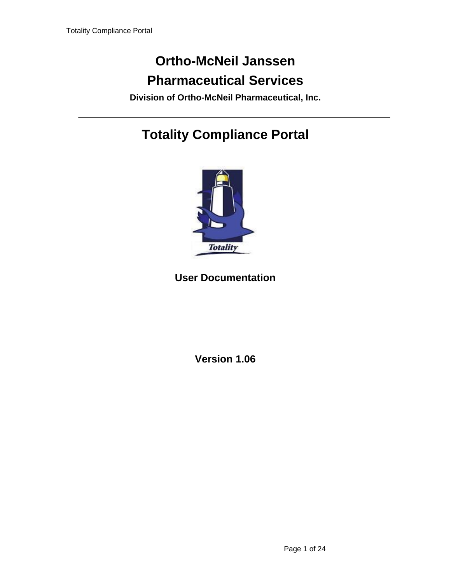# <span id="page-0-0"></span>**Ortho-McNeil Janssen Pharmaceutical Services**

**Division of Ortho-McNeil Pharmaceutical, Inc.** 

# **Totality Compliance Portal**



## **User Documentation**

**Version 1.06**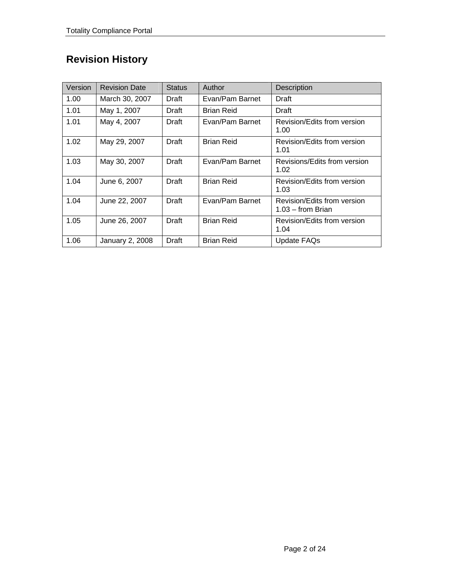## **Revision History**

| Version | <b>Revision Date</b> | <b>Status</b> | Author            | Description                                        |
|---------|----------------------|---------------|-------------------|----------------------------------------------------|
| 1.00    | March 30, 2007       | Draft         | Evan/Pam Barnet   | Draft                                              |
| 1.01    | May 1, 2007          | Draft         | Brian Reid        | Draft                                              |
| 1.01    | May 4, 2007          | Draft         | Evan/Pam Barnet   | Revision/Edits from version<br>1.00                |
| 1.02    | May 29, 2007         | Draft         | <b>Brian Reid</b> | Revision/Edits from version<br>1.01                |
| 1.03    | May 30, 2007         | Draft         | Evan/Pam Barnet   | Revisions/Edits from version<br>1.02               |
| 1.04    | June 6, 2007         | Draft         | <b>Brian Reid</b> | Revision/Edits from version<br>1.03                |
| 1.04    | June 22, 2007        | Draft         | Evan/Pam Barnet   | Revision/Edits from version<br>$1.03 -$ from Brian |
| 1.05    | June 26, 2007        | Draft         | <b>Brian Reid</b> | Revision/Edits from version<br>1.04                |
| 1.06    | January 2, 2008      | Draft         | <b>Brian Reid</b> | <b>Update FAQs</b>                                 |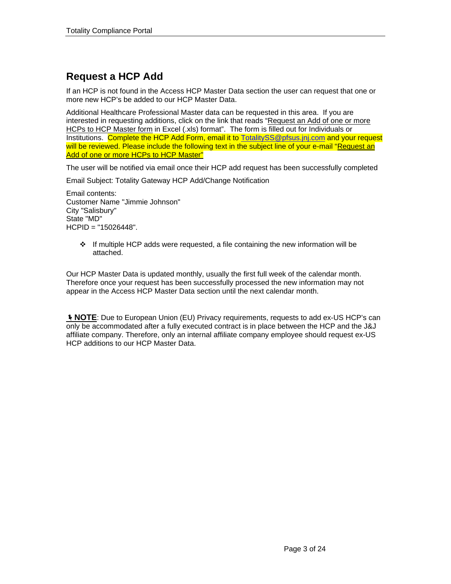## **Request a HCP Add**

If an HCP is not found in the Access HCP Master Data section the user can request that one or more new HCP's be added to our HCP Master Data.

Additional Healthcare Professional Master data can be requested in this area. If you are interested in requesting additions, click on the link that reads "Request an Add of one or more HCPs to HCP Master form in Excel (.xls) format". The form is filled out for Individuals or Institutions. Complete the HCP Add Form, email it to [TotalitySS@pfsus.jnj.com](mailto:TotalitySS@pfsus.jnj.com) and your request will be reviewed. Please include the following text in the subject line of your e-mail "Request an Add of one or more HCPs to HCP Master"

The user will be notified via email once their HCP add request has been successfully completed

Email Subject: Totality Gateway HCP Add/Change Notification

Email contents: Customer Name "Jimmie Johnson" City "Salisbury" State "MD" HCPID = "15026448".

> $\div$  If multiple HCP adds were requested, a file containing the new information will be attached.

Our HCP Master Data is updated monthly, usually the first full week of the calendar month. Therefore once your request has been successfully processed the new information may not appear in the Access HCP Master Data section until the next calendar month.

**I** NOTE: Due to European Union (EU) Privacy requirements, requests to add ex-US HCP's can only be accommodated after a fully executed contract is in place between the HCP and the J&J affiliate company. Therefore, only an internal affiliate company employee should request ex-US HCP additions to our HCP Master Data.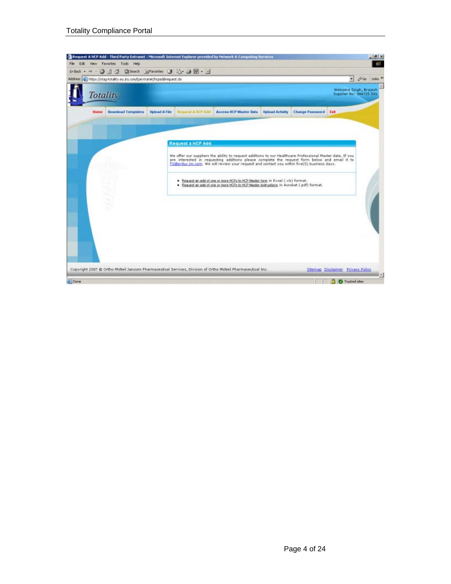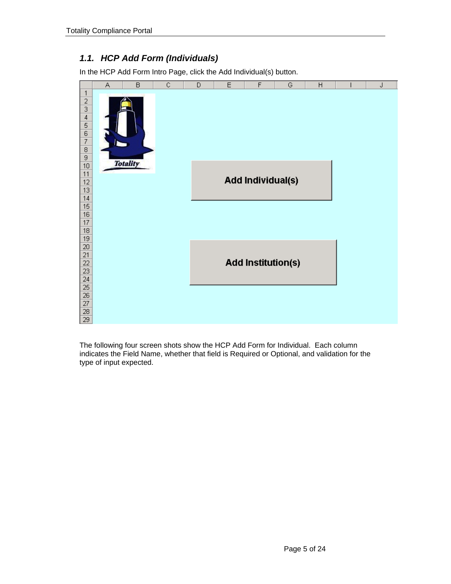### *1.1. HCP Add Form (Individuals)*

In the HCP Add Form Intro Page, click the Add Individual(s) button.



The following four screen shots show the HCP Add Form for Individual. Each column indicates the Field Name, whether that field is Required or Optional, and validation for the type of input expected.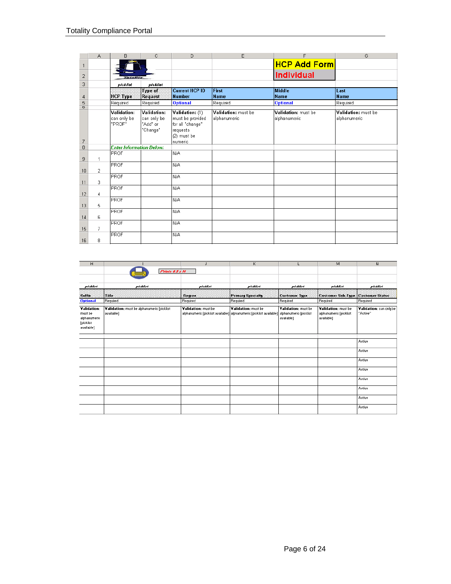|                | А              | B                               | C           | D                     | E                   | F                   | G                   |
|----------------|----------------|---------------------------------|-------------|-----------------------|---------------------|---------------------|---------------------|
| $\mathbf{1}$   |                |                                 |             |                       |                     | <b>HCP Add Form</b> |                     |
| $\overline{c}$ |                | Tatality                        |             |                       |                     | <b>Individual</b>   |                     |
| 3              |                | picklist                        | picklist    |                       |                     |                     |                     |
|                |                |                                 | Type of     | <b>Current HCP ID</b> | First               | <b>Middle</b>       | Last                |
| 4              |                | HCP Type                        | Request     | Number                | <b>Name</b>         | Name                | <b>Name</b>         |
| 5              |                | Required                        | Required    | <b>Optional</b>       | Required            | <b>Optional</b>     | Required            |
| $\overline{0}$ |                | Validation:                     | Validation: | Validation: (1)       | Validation: must be | Validation: must be | Validation: must be |
|                |                | can only be                     | can only be | must be provided      | alphanumeric        | alphanumeric        | alphanumeric        |
|                |                | "PROF"                          | "Add" or    | for all "change"      |                     |                     |                     |
|                |                |                                 | "Change"    | requests              |                     |                     |                     |
|                |                |                                 |             | (2) must be           |                     |                     |                     |
| $\overline{7}$ |                |                                 |             | Inumeric              |                     |                     |                     |
| $\overline{8}$ |                | <b>Enter Information Below:</b> |             |                       |                     |                     |                     |
|                |                | PROF                            |             | N/A                   |                     |                     |                     |
| 9              |                |                                 |             |                       |                     |                     |                     |
|                |                | PROF                            |             | N/A                   |                     |                     |                     |
| 10             | $\overline{2}$ |                                 |             |                       |                     |                     |                     |
|                |                | PROF                            |             | N/A                   |                     |                     |                     |
| 11             | 3              |                                 |             |                       |                     |                     |                     |
|                |                | <b>PROF</b>                     |             | N/A                   |                     |                     |                     |
| 12             | 4              | <b>PROF</b>                     |             | N/A                   |                     |                     |                     |
| 13             | 5              |                                 |             |                       |                     |                     |                     |
|                |                | <b>PROF</b>                     |             | N/A                   |                     |                     |                     |
| 14             | 6              |                                 |             |                       |                     |                     |                     |
|                |                | <b>PROF</b>                     |             | N/A                   |                     |                     |                     |
| 15             | 7              |                                 |             |                       |                     |                     |                     |
|                |                | <b>PROF</b>                     |             | N/A                   |                     |                     |                     |
| 16             | 8.             |                                 |             |                       |                     |                     |                     |

| н                                                                 |                                                          | J                   | K                                                                                                                   | ш                                 | M                                                           | N                                   |
|-------------------------------------------------------------------|----------------------------------------------------------|---------------------|---------------------------------------------------------------------------------------------------------------------|-----------------------------------|-------------------------------------------------------------|-------------------------------------|
|                                                                   | Prints & 5 x 14                                          |                     |                                                                                                                     |                                   |                                                             |                                     |
| picklist                                                          | picklist                                                 | picklist            | picklist                                                                                                            | picklist                          | picklist                                                    | picklist                            |
| <b>Sulla</b>                                                      | :TRIe:                                                   | <b>Degree</b>       | <b>Primary Specialty</b>                                                                                            | <b>Customer Type</b>              | Customer Sub-Type   Customer Status                         |                                     |
| <b>Optional</b>                                                   | Required                                                 | Required            | Required                                                                                                            | Required                          | Required                                                    | Required                            |
| Validation:<br>must be<br>alphanumeric<br>[picklist<br>available] | Validation: must be alphanumeric [picklist<br>available] | Validation: must be | Validation: must be<br>alphanumerio [picklist available]] alphanumerio [picklist available]] alphanumerio [picklist | Validation: must be<br>available] | Validation: must be<br>alphanumeric [picklist<br>available] | Validation: can only be<br>"Active" |
|                                                                   |                                                          |                     |                                                                                                                     |                                   |                                                             |                                     |
|                                                                   |                                                          |                     |                                                                                                                     |                                   |                                                             | Active                              |
|                                                                   |                                                          |                     |                                                                                                                     |                                   |                                                             | Active                              |
|                                                                   |                                                          |                     |                                                                                                                     |                                   |                                                             | Active                              |
|                                                                   |                                                          |                     |                                                                                                                     |                                   |                                                             | Active                              |
|                                                                   |                                                          |                     |                                                                                                                     |                                   |                                                             | Active                              |
|                                                                   |                                                          |                     |                                                                                                                     |                                   |                                                             | Active                              |
|                                                                   |                                                          |                     |                                                                                                                     |                                   |                                                             | Active                              |
|                                                                   |                                                          |                     |                                                                                                                     |                                   |                                                             | Active                              |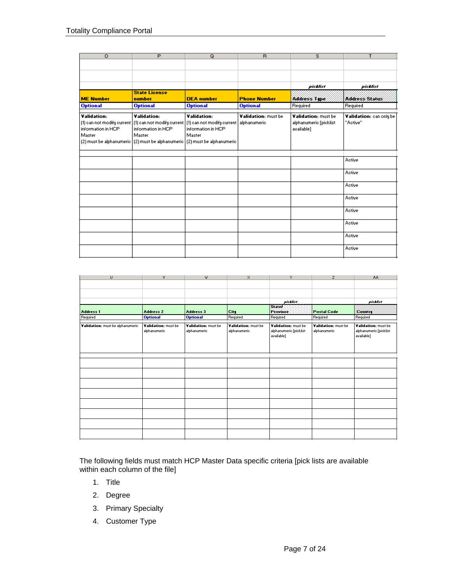| $\circ$            | $\overline{P}$                                                                                | Q                  | R                   | s                      | T                       |
|--------------------|-----------------------------------------------------------------------------------------------|--------------------|---------------------|------------------------|-------------------------|
|                    |                                                                                               |                    |                     |                        |                         |
|                    |                                                                                               |                    |                     |                        |                         |
|                    |                                                                                               |                    |                     | pictust                | picklist                |
|                    | <b>State License</b>                                                                          |                    |                     |                        |                         |
| <b>ME Number</b>   | number                                                                                        | <b>DEA</b> number  | <b>Phone Number</b> | Address Tipe           | Address Status          |
| <b>Optional</b>    | <b>Optional</b>                                                                               | <b>Optional</b>    | <b>Optional</b>     | Required               | Required                |
|                    |                                                                                               |                    |                     |                        |                         |
| Validation:        | <b>Validation:</b>                                                                            | Validation:        | Validation: must be | Validation: must be    | Validation: can only be |
|                    | (1) can not modify current (1) can not modify current (1) can not modify current alphanumeric |                    |                     | alphanumeric [picklist | "Active"                |
| information in HCP | information in HCP                                                                            | information in HCP |                     | available]             |                         |
| Master             | Master                                                                                        | Master             |                     |                        |                         |
|                    | [2] must be alphanumeric [2] must be alphanumeric [2] must be alphanumeric                    |                    |                     |                        |                         |
|                    |                                                                                               |                    |                     |                        |                         |
|                    |                                                                                               |                    |                     |                        | Active                  |
|                    |                                                                                               |                    |                     |                        |                         |
|                    |                                                                                               |                    |                     |                        | Active                  |
|                    |                                                                                               |                    |                     |                        |                         |
|                    |                                                                                               |                    |                     |                        | Active                  |
|                    |                                                                                               |                    |                     |                        | Active                  |
|                    |                                                                                               |                    |                     |                        |                         |
|                    |                                                                                               |                    |                     |                        | Active                  |
|                    |                                                                                               |                    |                     |                        | Active                  |
|                    |                                                                                               |                    |                     |                        |                         |
|                    |                                                                                               |                    |                     |                        | Active                  |
|                    |                                                                                               |                    |                     |                        | Active                  |

| $\cup$                           | ٧                                   | W                                   | x                                   | Y                                                           | $\mathsf{z}$                        | AA.                                                         |
|----------------------------------|-------------------------------------|-------------------------------------|-------------------------------------|-------------------------------------------------------------|-------------------------------------|-------------------------------------------------------------|
|                                  |                                     |                                     |                                     |                                                             |                                     |                                                             |
|                                  |                                     |                                     |                                     |                                                             |                                     |                                                             |
|                                  |                                     |                                     |                                     |                                                             |                                     |                                                             |
|                                  |                                     |                                     |                                     | picklist                                                    |                                     | picklist                                                    |
| <b>Address 1</b>                 | <b>Address 2</b>                    | <b>Address 3</b>                    | City                                | State :<br>Province:                                        | <b>Postal Code</b>                  | Country                                                     |
| Required                         | <b>Optional</b>                     | <b>Optional</b>                     | Required                            | Required                                                    | Required                            | Required                                                    |
| Validation: must be alphanumeric | Validation: must be<br>alphanumeric | Validation: must be<br>alphanumeric | Validation: must be<br>alphanumeric | Validation: must be<br>alphanumeric [picklist<br>available] | Validation: must be<br>alphanumeric | Validation: must be<br>alphanumeric [picklist<br>available] |
|                                  |                                     |                                     |                                     |                                                             |                                     |                                                             |
|                                  |                                     |                                     |                                     |                                                             |                                     |                                                             |
|                                  |                                     |                                     |                                     |                                                             |                                     |                                                             |
|                                  |                                     |                                     |                                     |                                                             |                                     |                                                             |
|                                  |                                     |                                     |                                     |                                                             |                                     |                                                             |
|                                  |                                     |                                     |                                     |                                                             |                                     |                                                             |
|                                  |                                     |                                     |                                     |                                                             |                                     |                                                             |
|                                  |                                     |                                     |                                     |                                                             |                                     |                                                             |
|                                  |                                     |                                     |                                     |                                                             |                                     |                                                             |

The following fields must match HCP Master Data specific criteria [pick lists are available within each column of the file]

- 1. Title
- 2. Degree
- 3. Primary Specialty
- 4. Customer Type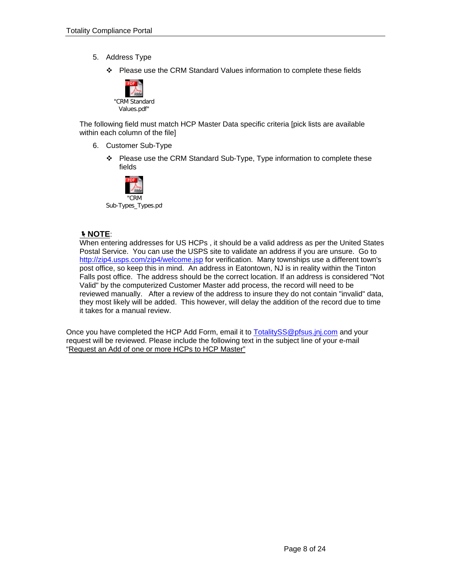- 5. Address Type
	- Please use the CRM Standard Values information to complete these fields



The following field must match HCP Master Data specific criteria [pick lists are available within each column of the file]

- 6. Customer Sub-Type
	- ❖ Please use the CRM Standard Sub-Type, Type information to complete these fields



#### Í**NOTE**:

When entering addresses for US HCPs , it should be a valid address as per the United States Postal Service. You can use the USPS site to validate an address if you are unsure. Go to <http://zip4.usps.com/zip4/welcome.jsp>for verification. Many townships use a different town's post office, so keep this in mind. An address in Eatontown, NJ is in reality within the Tinton Falls post office. The address should be the correct location. If an address is considered "Not Valid" by the computerized Customer Master add process, the record will need to be reviewed manually. After a review of the address to insure they do not contain "invalid" data, they most likely will be added. This however, will delay the addition of the record due to time it takes for a manual review.

Once you have completed the HCP Add Form, email it to [TotalitySS@pfsus.jnj.com](mailto:TotalitySS@pfsus.jnj.com) and your request will be reviewed. Please include the following text in the subject line of your e-mail "Request an Add of one or more HCPs to HCP Master"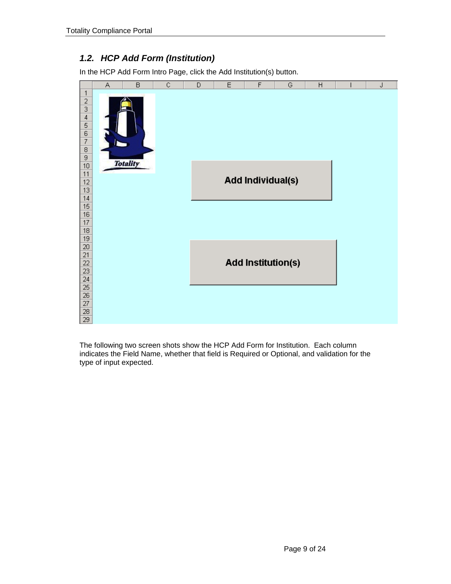### *1.2. HCP Add Form (Institution)*

In the HCP Add Form Intro Page, click the Add Institution(s) button.



The following two screen shots show the HCP Add Form for Institution. Each column indicates the Field Name, whether that field is Required or Optional, and validation for the type of input expected.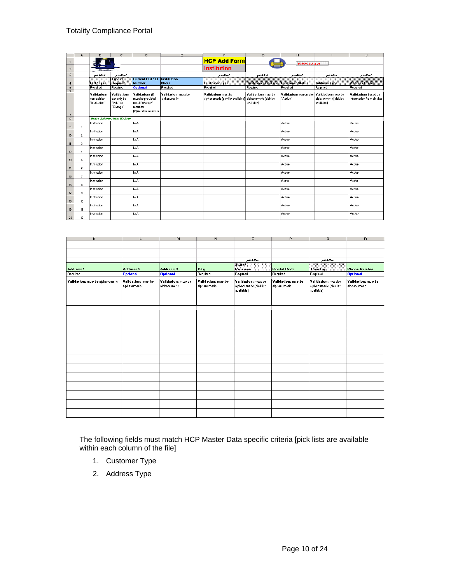|                                            | A               | в                                                  | $\overline{c}$                                            | D                                                                                          | E                                   | F                                                        | G                                                           | H                                   |                                                             | J                                                 |
|--------------------------------------------|-----------------|----------------------------------------------------|-----------------------------------------------------------|--------------------------------------------------------------------------------------------|-------------------------------------|----------------------------------------------------------|-------------------------------------------------------------|-------------------------------------|-------------------------------------------------------------|---------------------------------------------------|
| $\mathbf{1}$                               |                 |                                                    |                                                           |                                                                                            |                                     | <b>HCP Add Form</b>                                      |                                                             | Prints 8.5 x 14                     |                                                             |                                                   |
| $\mathbf{2}$                               |                 | <b>ASSESSMENT</b>                                  |                                                           |                                                                                            |                                     | <b>Institution</b>                                       |                                                             |                                     |                                                             |                                                   |
| $\sqrt{3}$                                 |                 | picklist                                           | picklist                                                  |                                                                                            |                                     | picklist                                                 | picklist                                                    | picklist                            | picklist                                                    | picklist                                          |
|                                            |                 |                                                    | Ture of                                                   | <b>Current HCP ID</b>                                                                      | <b>Institution</b>                  |                                                          |                                                             |                                     |                                                             |                                                   |
| 4                                          |                 | <b>HCP Type:</b>                                   | <b>Flequest</b>                                           | <b>Number</b>                                                                              | <b>Name</b>                         | <b>Custamer Type</b>                                     | <b>Customer Sub-Type   Customer Status</b>                  |                                     | <b>Address Tipe</b>                                         | Address Status                                    |
| $5\phantom{.0}$<br>$\overline{\mathbf{c}}$ |                 | Required                                           | Required                                                  | <b>Optional</b>                                                                            | Required                            | Required                                                 | Required                                                    | Required                            | Required                                                    | Required                                          |
| $\overline{\phantom{a}}$                   |                 | <b>Validation:</b><br>can only be<br>"Institution" | <b>Validation:</b><br>can only be<br>"Add" or<br>"Change" | Validation: (1)<br>must be provided<br>for all "change"<br>requests<br>(2) must be numeric | Validation: must be<br>alphanumeric | Validation: must be<br>alphanumeric [picklist available] | Validation: must be<br>alphanumeric [picklist<br>available] | Validation: can only be<br>"Active" | Validation: must be<br>alphanumeric [picklist<br>available] | Validation: based on<br>information from picklist |
| $\overline{\mathbf{8}}$                    |                 |                                                    | <b>Enter Information Below:</b>                           |                                                                                            |                                     |                                                          |                                                             |                                     |                                                             |                                                   |
| $\mathbf{3}$                               | -1              | Institution                                        |                                                           | NIA.                                                                                       |                                     |                                                          |                                                             | Active                              |                                                             | Active                                            |
| 10                                         | $\overline{2}$  | Institution                                        |                                                           | NIA.                                                                                       |                                     |                                                          |                                                             | Active                              |                                                             | Active                                            |
| 11                                         | 3               | Institution                                        |                                                           | NIA.                                                                                       |                                     |                                                          |                                                             | Active                              |                                                             | Active                                            |
| 12                                         | $\overline{4}$  | Institution                                        |                                                           | INM.                                                                                       |                                     |                                                          |                                                             | Active                              |                                                             | Active                                            |
| 13                                         | 5               | Institution                                        |                                                           | <b>N/A</b>                                                                                 |                                     |                                                          |                                                             | Active                              |                                                             | Active                                            |
| 14                                         | 6               | Institution                                        |                                                           | <b>NIA</b>                                                                                 |                                     |                                                          |                                                             | Active                              |                                                             | Active                                            |
| 15                                         | 7               | Institution                                        |                                                           | <b>NIA</b>                                                                                 |                                     |                                                          |                                                             | Active                              |                                                             | Active                                            |
| 16                                         | 8               | Institution                                        |                                                           | INIA.                                                                                      |                                     |                                                          |                                                             | Active                              |                                                             | Active                                            |
| 17                                         | 9               | Institution                                        |                                                           | INM.                                                                                       |                                     |                                                          |                                                             | Active                              |                                                             | Active                                            |
| 18                                         | 10 <sup>°</sup> | Institution                                        |                                                           | <b>N/A</b>                                                                                 |                                     |                                                          |                                                             | Active                              |                                                             | Active                                            |
| 19                                         | 11              | Institution                                        |                                                           | <b>NIA</b>                                                                                 |                                     |                                                          |                                                             | Active                              |                                                             | Active                                            |
| 20                                         | 12              | Institution                                        |                                                           | NIA.                                                                                       |                                     |                                                          |                                                             | Active                              |                                                             | Active                                            |

| Κ                                | L                                   | M                                   | N                                   | 0                                                           | P                                   | Q                                                           | $\mathbb{R}$                        |
|----------------------------------|-------------------------------------|-------------------------------------|-------------------------------------|-------------------------------------------------------------|-------------------------------------|-------------------------------------------------------------|-------------------------------------|
|                                  |                                     |                                     |                                     |                                                             |                                     |                                                             |                                     |
|                                  |                                     |                                     |                                     |                                                             |                                     |                                                             |                                     |
|                                  |                                     |                                     |                                     |                                                             |                                     |                                                             |                                     |
|                                  |                                     |                                     |                                     | picklist                                                    |                                     | picklist                                                    |                                     |
|                                  |                                     |                                     |                                     | State?                                                      |                                     |                                                             |                                     |
| <b>Address 1</b>                 | <b>Address 2</b>                    | Address 3                           | City                                | Province                                                    | <b>Postal Code</b>                  | Country                                                     | <b>Phone Number</b>                 |
| Required                         | <b>Optional</b>                     | <b>Optional</b>                     | Required                            | Required                                                    | Required                            | Required                                                    | <b>Optional</b>                     |
| Validation: must be alphanumeric | Validation: must be<br>alphanumeric | Validation: must be<br>alphanumeric | Validation: must be<br>alphanumeric | Validation: must be<br>alphanumeric [picklist<br>available] | Validation: must be<br>alphanumeric | Validation: must be<br>alphanumeric [picklist<br>available] | Validation: must be<br>alphanumeric |
|                                  |                                     |                                     |                                     |                                                             |                                     |                                                             |                                     |
|                                  |                                     |                                     |                                     |                                                             |                                     |                                                             |                                     |
|                                  |                                     |                                     |                                     |                                                             |                                     |                                                             |                                     |
|                                  |                                     |                                     |                                     |                                                             |                                     |                                                             |                                     |
|                                  |                                     |                                     |                                     |                                                             |                                     |                                                             |                                     |
|                                  |                                     |                                     |                                     |                                                             |                                     |                                                             |                                     |
|                                  |                                     |                                     |                                     |                                                             |                                     |                                                             |                                     |
|                                  |                                     |                                     |                                     |                                                             |                                     |                                                             |                                     |
|                                  |                                     |                                     |                                     |                                                             |                                     |                                                             |                                     |
|                                  |                                     |                                     |                                     |                                                             |                                     |                                                             |                                     |
|                                  |                                     |                                     |                                     |                                                             |                                     |                                                             |                                     |
|                                  |                                     |                                     |                                     |                                                             |                                     |                                                             |                                     |
|                                  |                                     |                                     |                                     |                                                             |                                     |                                                             |                                     |
|                                  |                                     |                                     |                                     |                                                             |                                     |                                                             |                                     |

The following fields must match HCP Master Data specific criteria [pick lists are available within each column of the file]

- 1. Customer Type
- 2. Address Type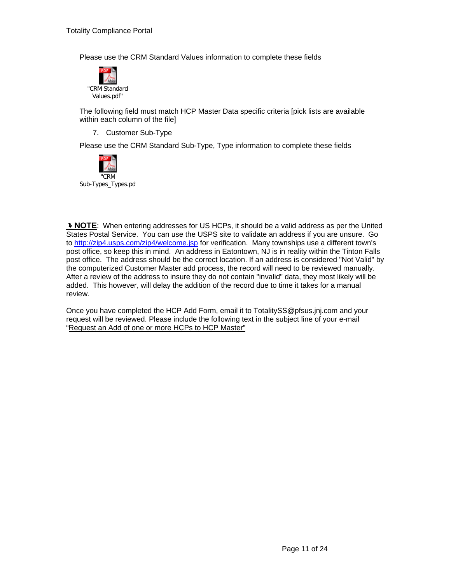Please use the CRM Standard Values information to complete these fields



The following field must match HCP Master Data specific criteria [pick lists are available within each column of the file]

7. Customer Sub-Type

Please use the CRM Standard Sub-Type, Type information to complete these fields



**I NOTE:** When entering addresses for US HCPs, it should be a valid address as per the United States Postal Service. You can use the USPS site to validate an address if you are unsure. Go to<http://zip4.usps.com/zip4/welcome.jsp>for verification. Many townships use a different town's post office, so keep this in mind. An address in Eatontown, NJ is in reality within the Tinton Falls post office. The address should be the correct location. If an address is considered "Not Valid" by the computerized Customer Master add process, the record will need to be reviewed manually. After a review of the address to insure they do not contain "invalid" data, they most likely will be added. This however, will delay the addition of the record due to time it takes for a manual review.

Once you have completed the HCP Add Form, email it to TotalitySS@pfsus.jnj.com and your request will be reviewed. Please include the following text in the subject line of your e-mail "Request an Add of one or more HCPs to HCP Master"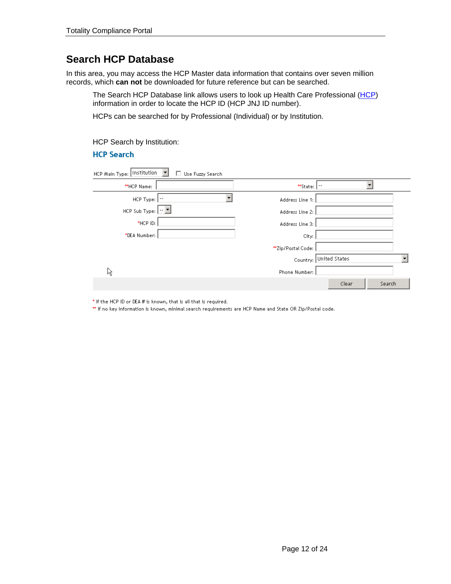## **Search HCP Database**

In this area, you may access the HCP Master data information that contains over seven million records, which **can not** be downloaded for future reference but can be searched.

The Search HCP Database link allows users to look up Health Care Professional ([HCP](#page-14-0)) information in order to locate the HCP ID (HCP JNJ ID number).

HCPs can be searched for by Professional (Individual) or by Institution.

HCP Search by Institution:

#### **HCP Search**

| Institution<br>HCP Main Type: | Use Fuzzy Search |                    |               |        |
|-------------------------------|------------------|--------------------|---------------|--------|
| **HCP Name:                   |                  | **State:           |               |        |
| HCP Type: $ \cdot $           |                  | Address Line 1:    |               |        |
| HCP Sub Type: $\boxed{-1}$    |                  | Address Line 2:    |               |        |
| $*$ HCP ID:                   |                  | Address Line 3:    |               |        |
| *DEA Number:                  |                  | City:              |               |        |
|                               |                  | **Zip/Postal Code: |               |        |
|                               |                  | Country:           | United States |        |
| ß                             |                  | Phone Number:      |               |        |
|                               |                  |                    | Clear         | Search |

\* If the HCP ID or DEA # is known, that is all that is required.

\*\* If no key information is known, minimal search requirements are HCP Name and State OR Zip/Postal code.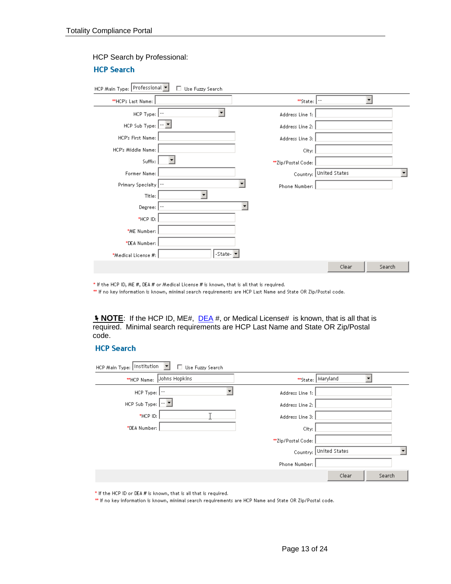**HCP Search** 

| HCP Main Type: Professional                     | $\Box$ Use Fuzzy Search |   |                      |                        |        |  |
|-------------------------------------------------|-------------------------|---|----------------------|------------------------|--------|--|
| **HCP's Last Name:                              |                         |   | $*$ State: $ \cdot $ |                        | ٠      |  |
| $HCP$ Type: $\boxed{\cdot \cdot}$               |                         |   | Address Line 1:      |                        |        |  |
| HCP Sub Type: $\left \cdot\right $ $\mathbb{Z}$ |                         |   | Address Line 2:      |                        |        |  |
| HCP's First Name:                               |                         |   | Address Line 3:      |                        |        |  |
| HCP's Middle Name:                              |                         |   | City:                |                        |        |  |
| Suffix:                                         |                         |   | **Zip/Postal Code:   |                        |        |  |
| Former Name:                                    |                         |   |                      | Country: United States |        |  |
| Primary Specialty  --                           |                         |   | Phone Number:        |                        |        |  |
| Title:                                          |                         |   |                      |                        |        |  |
| Degree:                                         |                         | ▼ |                      |                        |        |  |
| $*$ HCP ID:                                     |                         |   |                      |                        |        |  |
| *ME Number:                                     |                         |   |                      |                        |        |  |
| *DEA Number:                                    |                         |   |                      |                        |        |  |
| *Medical License #:                             | -State-                 |   |                      |                        |        |  |
|                                                 |                         |   |                      | Clear                  | Search |  |

#### HCP Search by Professional:

\* If the HCP ID, ME #, DEA # or Medical License # is known, that is all that is required.

\*\* If no key information is known, minimal search requirements are HCP Last Name and State OR Zip/Postal code.

**<u><b>NOTE</u>**: If the HCP ID, ME#, **DEA** #, or Medical License# is known, that is all that is</u> required. Minimal search requirements are HCP Last Name and State OR Zip/Postal code.

#### **HCP Search**

| HCP Main Type: Institution<br>Use Fuzzy Search<br>ш |                           |        |
|-----------------------------------------------------|---------------------------|--------|
| Johns Hopkins<br>**HCP Name:                        | **State:   Maryland       |        |
| HCP Type: $ \cdot $                                 | Address Line 1:           |        |
| HCP Sub Type: $\boxed{-\ \blacksquare}$             | Address Line 2:           |        |
| *HCP ID:                                            | Address Line 3:           |        |
| *DEA Number:                                        | City:                     |        |
|                                                     | **Zip/Postal Code:        |        |
|                                                     | United States<br>Country: |        |
|                                                     | Phone Number:             |        |
|                                                     | Clear                     | Search |

\* If the HCP ID or DEA # is known, that is all that is required.

\*\* If no key information is known, minimal search requirements are HCP Name and State OR Zip/Postal code.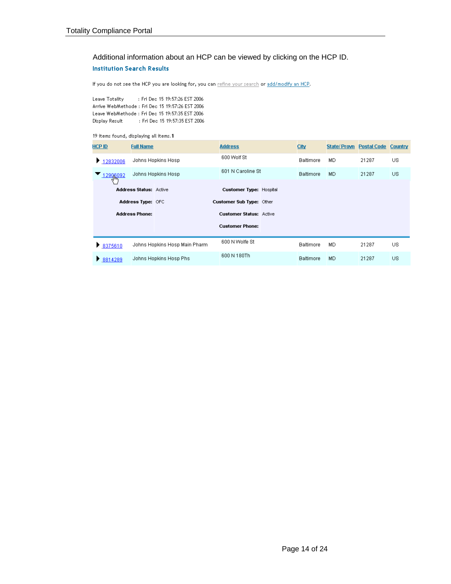### Additional information about an HCP can be viewed by clicking on the HCP ID. **Institution Search Results**

If you do not see the HCP you are looking for, you can refine your search or add/modify an HCP.

Leave Totality : Fri Dec 15 19:57:26 EST 2006 Arrive WebMethode: Fri Dec 15 19:57:26 EST 2006 Leave WebMethode : Fri Dec 15 19:57:35 EST 2006 Display Result : Fri Dec 15 19:57:35 EST 2006

#### 19 items found, displaying all items.1

| <b>HCP ID</b>   | <b>Full Name</b>              |                               | <b>Address</b>                 | City             | State/Provn | <b>Postal Code</b> | Country |
|-----------------|-------------------------------|-------------------------------|--------------------------------|------------------|-------------|--------------------|---------|
| 12832006<br>Þ.  |                               | Johns Hopkins Hosp            | 600 Wolf St                    | <b>Baltimore</b> | MD          | 21287              | US.     |
| 12906092<br>لسك |                               | Johns Hopkins Hosp            | 601 N Caroline St              | <b>Baltimore</b> | MD.         | 21287              | US.     |
|                 | <b>Address Status: Active</b> |                               | <b>Customer Type: Hospital</b> |                  |             |                    |         |
|                 | Address Type: OFC             |                               | Customer Sub Type: Other       |                  |             |                    |         |
|                 | <b>Address Phone:</b>         |                               | <b>Customer Status: Active</b> |                  |             |                    |         |
|                 |                               |                               | <b>Customer Phone:</b>         |                  |             |                    |         |
| ▶ 8375610       |                               | Johns Hopkins Hosp Main Pharm | 600 N Wolfe St                 | <b>Baltimore</b> | MD          | 21287              | US.     |
| ₹ 8814289       |                               | Johns Hopkins Hosp Phs        | 600 N 180Th                    | <b>Baltimore</b> | MD          | 21287              | US.     |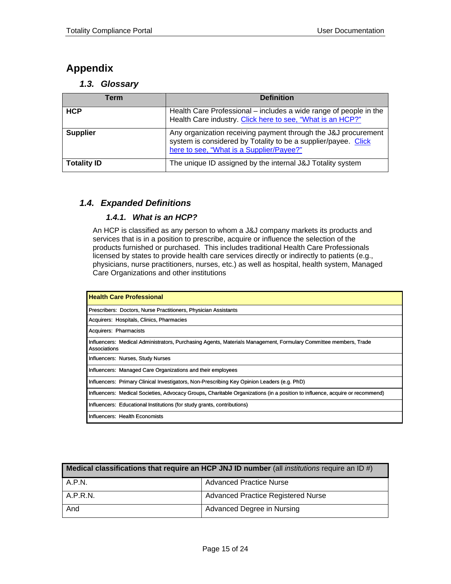## <span id="page-14-0"></span>**Appendix**

*1.3. Glossary* 

| Term               | <b>Definition</b>                                                                                                                                                            |
|--------------------|------------------------------------------------------------------------------------------------------------------------------------------------------------------------------|
| <b>HCP</b>         | Health Care Professional – includes a wide range of people in the<br>Health Care industry. Click here to see, "What is an HCP?"                                              |
| <b>Supplier</b>    | Any organization receiving payment through the J&J procurement<br>system is considered by Totality to be a supplier/payee. Click<br>here to see, "What is a Supplier/Payee?" |
| <b>Totality ID</b> | The unique ID assigned by the internal J&J Totality system                                                                                                                   |

### *1.4. Expanded Definitions*

#### *1.4.1. What is an HCP?*

An HCP is classified as any person to whom a J&J company markets its products and services that is in a position to prescribe, acquire or influence the selection of the products furnished or purchased. This includes traditional Health Care Professionals licensed by states to provide health care services directly or indirectly to patients (e.g., physicians, nurse practitioners, nurses, etc.) as well as hospital, health system, Managed Care Organizations and other institutions

| <b>Health Care Professional</b>                                                                                                  |
|----------------------------------------------------------------------------------------------------------------------------------|
| Prescribers: Doctors, Nurse Practitioners, Physician Assistants                                                                  |
| Acquirers: Hospitals, Clinics, Pharmacies                                                                                        |
| Acquirers: Pharmacists                                                                                                           |
| Influencers: Medical Administrators, Purchasing Agents, Materials Management, Formulary Committee members, Trade<br>Associations |
| Influencers: Nurses, Study Nurses                                                                                                |
| Influencers: Managed Care Organizations and their employees                                                                      |
| Influencers: Primary Clinical Investigators, Non-Prescribing Key Opinion Leaders (e.g. PhD)                                      |
| Influencers: Medical Societies, Advocacy Groups, Charitable Organizations (in a position to influence, acquire or recommend)     |
| Influencers: Educational Institutions (for study grants, contributions)                                                          |
| Influencers: Health Economists                                                                                                   |

| Medical classifications that require an HCP JNJ ID number (all <i>institutions</i> require an ID #) |                                    |  |  |  |  |
|-----------------------------------------------------------------------------------------------------|------------------------------------|--|--|--|--|
| A.P.N.                                                                                              | <b>Advanced Practice Nurse</b>     |  |  |  |  |
| A.P.R.N.                                                                                            | Advanced Practice Registered Nurse |  |  |  |  |
| And                                                                                                 | Advanced Degree in Nursing         |  |  |  |  |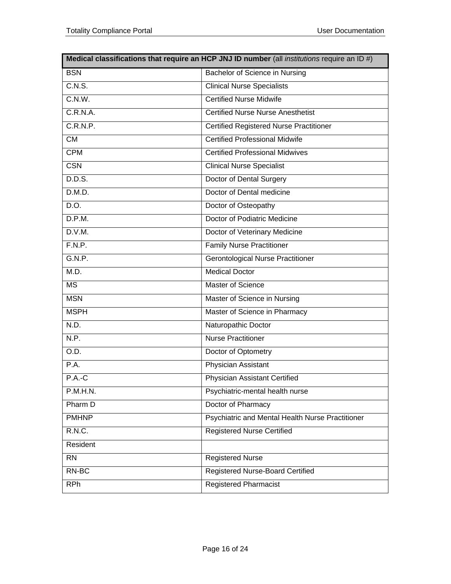| Medical classifications that require an HCP JNJ ID number (all institutions require an ID #) |                                                  |  |  |  |  |  |
|----------------------------------------------------------------------------------------------|--------------------------------------------------|--|--|--|--|--|
| <b>BSN</b>                                                                                   | Bachelor of Science in Nursing                   |  |  |  |  |  |
| C.N.S.                                                                                       | <b>Clinical Nurse Specialists</b>                |  |  |  |  |  |
| C.N.W.                                                                                       | <b>Certified Nurse Midwife</b>                   |  |  |  |  |  |
| C.R.N.A.                                                                                     | <b>Certified Nurse Nurse Anesthetist</b>         |  |  |  |  |  |
| C.R.N.P.                                                                                     | <b>Certified Registered Nurse Practitioner</b>   |  |  |  |  |  |
| <b>CM</b>                                                                                    | <b>Certified Professional Midwife</b>            |  |  |  |  |  |
| <b>CPM</b>                                                                                   | <b>Certified Professional Midwives</b>           |  |  |  |  |  |
| <b>CSN</b>                                                                                   | <b>Clinical Nurse Specialist</b>                 |  |  |  |  |  |
| D.D.S.                                                                                       | Doctor of Dental Surgery                         |  |  |  |  |  |
| D.M.D.                                                                                       | Doctor of Dental medicine                        |  |  |  |  |  |
| D.O.                                                                                         | Doctor of Osteopathy                             |  |  |  |  |  |
| D.P.M.                                                                                       | Doctor of Podiatric Medicine                     |  |  |  |  |  |
| D.V.M.                                                                                       | Doctor of Veterinary Medicine                    |  |  |  |  |  |
| F.N.P.                                                                                       | <b>Family Nurse Practitioner</b>                 |  |  |  |  |  |
| G.N.P.                                                                                       | <b>Gerontological Nurse Practitioner</b>         |  |  |  |  |  |
| M.D.                                                                                         | <b>Medical Doctor</b>                            |  |  |  |  |  |
| <b>MS</b>                                                                                    | Master of Science                                |  |  |  |  |  |
| <b>MSN</b>                                                                                   | Master of Science in Nursing                     |  |  |  |  |  |
| <b>MSPH</b>                                                                                  | Master of Science in Pharmacy                    |  |  |  |  |  |
| N.D.                                                                                         | Naturopathic Doctor                              |  |  |  |  |  |
| N.P.                                                                                         | <b>Nurse Practitioner</b>                        |  |  |  |  |  |
| O.D.                                                                                         | Doctor of Optometry                              |  |  |  |  |  |
| P.A.                                                                                         | Physician Assistant                              |  |  |  |  |  |
| $P.A.-C$                                                                                     | Physician Assistant Certified                    |  |  |  |  |  |
| P.M.H.N.                                                                                     | Psychiatric-mental health nurse                  |  |  |  |  |  |
| Pharm D                                                                                      | Doctor of Pharmacy                               |  |  |  |  |  |
| <b>PMHNP</b>                                                                                 | Psychiatric and Mental Health Nurse Practitioner |  |  |  |  |  |
| R.N.C.                                                                                       | <b>Registered Nurse Certified</b>                |  |  |  |  |  |
| Resident                                                                                     |                                                  |  |  |  |  |  |
| <b>RN</b>                                                                                    | <b>Registered Nurse</b>                          |  |  |  |  |  |
| RN-BC                                                                                        | <b>Registered Nurse-Board Certified</b>          |  |  |  |  |  |
| <b>RPh</b>                                                                                   | <b>Registered Pharmacist</b>                     |  |  |  |  |  |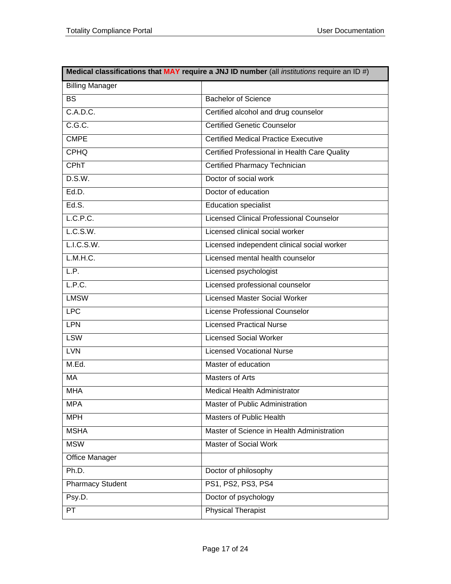| Medical classifications that MAY require a JNJ ID number (all institutions require an ID #) |                                                 |  |  |  |  |  |
|---------------------------------------------------------------------------------------------|-------------------------------------------------|--|--|--|--|--|
| <b>Billing Manager</b>                                                                      |                                                 |  |  |  |  |  |
| <b>BS</b>                                                                                   | <b>Bachelor of Science</b>                      |  |  |  |  |  |
| C.A.D.C.                                                                                    | Certified alcohol and drug counselor            |  |  |  |  |  |
| C.G.C.                                                                                      | <b>Certified Genetic Counselor</b>              |  |  |  |  |  |
| <b>CMPE</b>                                                                                 | <b>Certified Medical Practice Executive</b>     |  |  |  |  |  |
| <b>CPHQ</b>                                                                                 | Certified Professional in Health Care Quality   |  |  |  |  |  |
| <b>CPhT</b>                                                                                 | Certified Pharmacy Technician                   |  |  |  |  |  |
| D.S.W.                                                                                      | Doctor of social work                           |  |  |  |  |  |
| Ed.D.                                                                                       | Doctor of education                             |  |  |  |  |  |
| Ed.S.                                                                                       | <b>Education specialist</b>                     |  |  |  |  |  |
| L.C.P.C.                                                                                    | <b>Licensed Clinical Professional Counselor</b> |  |  |  |  |  |
| L.C.S.W.                                                                                    | Licensed clinical social worker                 |  |  |  |  |  |
| L.I.C.S.W.                                                                                  | Licensed independent clinical social worker     |  |  |  |  |  |
| L.M.H.C.                                                                                    | Licensed mental health counselor                |  |  |  |  |  |
| LP.                                                                                         | Licensed psychologist                           |  |  |  |  |  |
| L.P.C.                                                                                      | Licensed professional counselor                 |  |  |  |  |  |
| <b>LMSW</b>                                                                                 | <b>Licensed Master Social Worker</b>            |  |  |  |  |  |
| <b>LPC</b>                                                                                  | <b>License Professional Counselor</b>           |  |  |  |  |  |
| <b>LPN</b>                                                                                  | <b>Licensed Practical Nurse</b>                 |  |  |  |  |  |
| <b>LSW</b>                                                                                  | <b>Licensed Social Worker</b>                   |  |  |  |  |  |
| <b>LVN</b>                                                                                  | <b>Licensed Vocational Nurse</b>                |  |  |  |  |  |
| M.Ed.                                                                                       | Master of education                             |  |  |  |  |  |
| <b>MA</b>                                                                                   | <b>Masters of Arts</b>                          |  |  |  |  |  |
| <b>MHA</b>                                                                                  | Medical Health Administrator                    |  |  |  |  |  |
| <b>MPA</b>                                                                                  | Master of Public Administration                 |  |  |  |  |  |
| <b>MPH</b>                                                                                  | <b>Masters of Public Health</b>                 |  |  |  |  |  |
| <b>MSHA</b>                                                                                 | Master of Science in Health Administration      |  |  |  |  |  |
| <b>MSW</b>                                                                                  | Master of Social Work                           |  |  |  |  |  |
| Office Manager                                                                              |                                                 |  |  |  |  |  |
| Ph.D.                                                                                       | Doctor of philosophy                            |  |  |  |  |  |
| <b>Pharmacy Student</b>                                                                     | PS1, PS2, PS3, PS4                              |  |  |  |  |  |
| Psy.D.                                                                                      | Doctor of psychology                            |  |  |  |  |  |
| PT                                                                                          | <b>Physical Therapist</b>                       |  |  |  |  |  |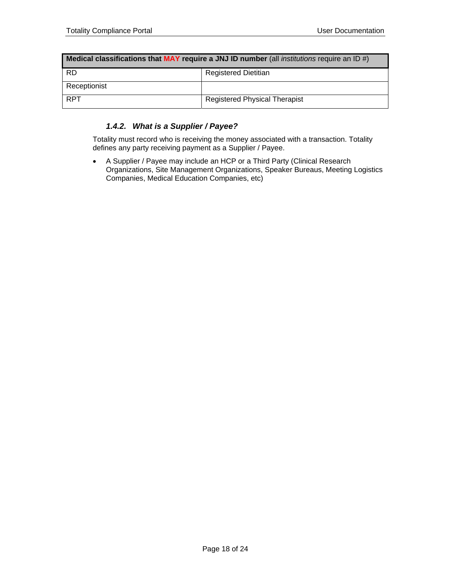<span id="page-17-0"></span>

| Medical classifications that MAY require a JNJ ID number (all <i>institutions</i> require an ID #) |                               |  |  |  |  |
|----------------------------------------------------------------------------------------------------|-------------------------------|--|--|--|--|
| <b>RD</b>                                                                                          | <b>Registered Dietitian</b>   |  |  |  |  |
| Receptionist                                                                                       |                               |  |  |  |  |
| <b>RPT</b>                                                                                         | Registered Physical Therapist |  |  |  |  |

### *1.4.2. What is a Supplier / Payee?*

Totality must record who is receiving the money associated with a transaction. Totality defines any party receiving payment as a Supplier / Payee.

• A Supplier / Payee may include an HCP or a Third Party (Clinical Research Organizations, Site Management Organizations, Speaker Bureaus, Meeting Logistics Companies, Medical Education Companies, etc)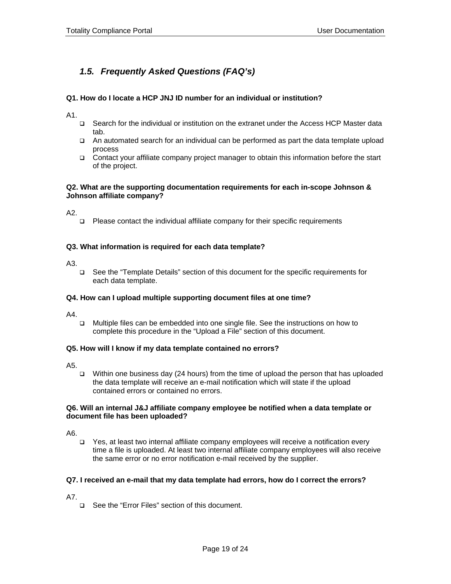## *1.5. Frequently Asked Questions (FAQ's)*

#### **Q1. How do I locate a HCP JNJ ID number for an individual or institution?**

A1.

- Search for the individual or institution on the extranet under the Access HCP Master data tab.
- An automated search for an individual can be performed as part the data template upload process
- Contact your affiliate company project manager to obtain this information before the start of the project.

#### **Q2. What are the supporting documentation requirements for each in-scope Johnson & Johnson affiliate company?**

A2.

Please contact the individual affiliate company for their specific requirements

#### **Q3. What information is required for each data template?**

A3.

 See the "Template Details" section of this document for the specific requirements for each data template.

#### **Q4. How can I upload multiple supporting document files at one time?**

A4.

 Multiple files can be embedded into one single file. See the instructions on how to complete this procedure in the "Upload a File" section of this document.

#### **Q5. How will I know if my data template contained no errors?**

A5.

Within one business day (24 hours) from the time of upload the person that has uploaded the data template will receive an e-mail notification which will state if the upload contained errors or contained no errors.

#### **Q6. Will an internal J&J affiliate company employee be notified when a data template or document file has been uploaded?**

A6.

 Yes, at least two internal affiliate company employees will receive a notification every time a file is uploaded. At least two internal affiliate company employees will also receive the same error or no error notification e-mail received by the supplier.

#### **Q7. I received an e-mail that my data template had errors, how do I correct the errors?**

A7.

□ See the "Error Files" section of this document.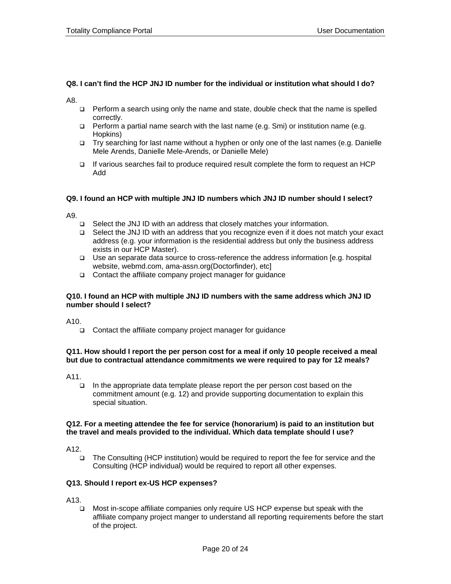#### **Q8. I can't find the HCP JNJ ID number for the individual or institution what should I do?**

A8.

- $\Box$  Perform a search using only the name and state, double check that the name is spelled correctly.
- $\Box$  Perform a partial name search with the last name (e.g. Smi) or institution name (e.g. Hopkins)
- Try searching for last name without a hyphen or only one of the last names (e.g. Danielle Mele Arends, Danielle Mele-Arends, or Danielle Mele)
- $\Box$  If various searches fail to produce required result complete the form to request an HCP Add

#### **Q9. I found an HCP with multiple JNJ ID numbers which JNJ ID number should I select?**

A9.

- □ Select the JNJ ID with an address that closely matches your information.
- Select the JNJ ID with an address that you recognize even if it does not match your exact address (e.g. your information is the residential address but only the business address exists in our HCP Master).
- Use an separate data source to cross-reference the address information [e.g. hospital website, webmd.com, ama-assn.org(Doctorfinder), etc]
- $\Box$  Contact the affiliate company project manager for guidance

#### **Q10. I found an HCP with multiple JNJ ID numbers with the same address which JNJ ID number should I select?**

 $A10$ 

 $\Box$  Contact the affiliate company project manager for guidance

#### **Q11. How should I report the per person cost for a meal if only 10 people received a meal but due to contractual attendance commitments we were required to pay for 12 meals?**

A11.

 In the appropriate data template please report the per person cost based on the commitment amount (e.g. 12) and provide supporting documentation to explain this special situation.

#### **Q12. For a meeting attendee the fee for service (honorarium) is paid to an institution but the travel and meals provided to the individual. Which data template should I use?**

A12.

 The Consulting (HCP institution) would be required to report the fee for service and the Consulting (HCP individual) would be required to report all other expenses.

#### **Q13. Should I report ex-US HCP expenses?**

A13.

 Most in-scope affiliate companies only require US HCP expense but speak with the affiliate company project manger to understand all reporting requirements before the start of the project.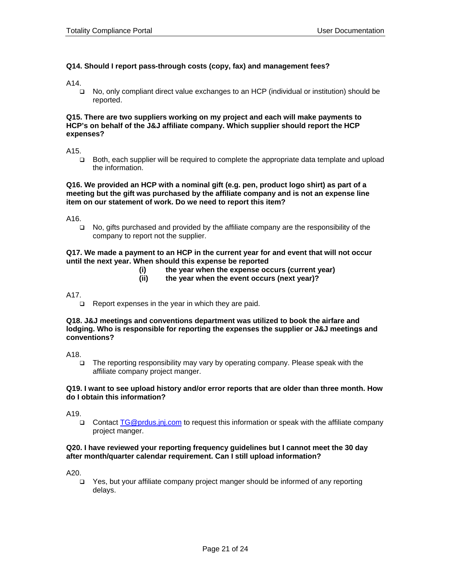#### **Q14. Should I report pass-through costs (copy, fax) and management fees?**

A14.

 No, only compliant direct value exchanges to an HCP (individual or institution) should be reported.

#### **Q15. There are two suppliers working on my project and each will make payments to HCP's on behalf of the J&J affiliate company. Which supplier should report the HCP expenses?**

A15.

 Both, each supplier will be required to complete the appropriate data template and upload the information.

#### **Q16. We provided an HCP with a nominal gift (e.g. pen, product logo shirt) as part of a meeting but the gift was purchased by the affiliate company and is not an expense line item on our statement of work. Do we need to report this item?**

A16.

 No, gifts purchased and provided by the affiliate company are the responsibility of the company to report not the supplier.

#### **Q17. We made a payment to an HCP in the current year for and event that will not occur until the next year. When should this expense be reported**

- **(i) the year when the expense occurs (current year)**
- **(ii) the year when the event occurs (next year)?**

A17.

 $\Box$  Report expenses in the year in which they are paid.

#### **Q18. J&J meetings and conventions department was utilized to book the airfare and lodging. Who is responsible for reporting the expenses the supplier or J&J meetings and conventions?**

A18.

 $\Box$  The reporting responsibility may vary by operating company. Please speak with the affiliate company project manger.

#### **Q19. I want to see upload history and/or error reports that are older than three month. How do I obtain this information?**

A19.

 Contact [TG@prdus.jnj.com](mailto:TG@prdus.jnj.com) to request this information or speak with the affiliate company project manger.

#### **Q20. I have reviewed your reporting frequency guidelines but I cannot meet the 30 day after month/quarter calendar requirement. Can I still upload information?**

A20.

 Yes, but your affiliate company project manger should be informed of any reporting delays.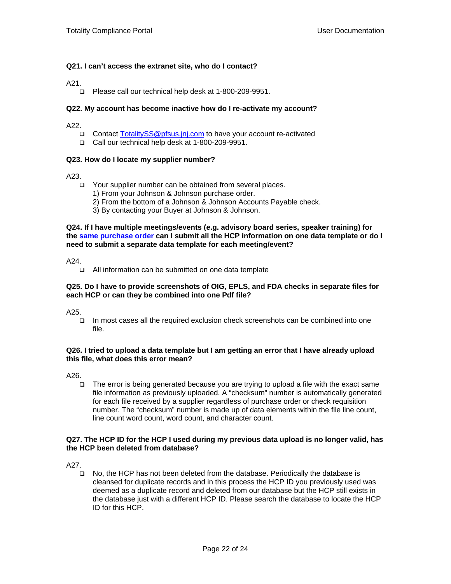#### **Q21. I can't access the extranet site, who do I contact?**

A21.

□ Please call our technical help desk at 1-800-209-9951.

#### **Q22. My account has become inactive how do I re-activate my account?**

A22.

- □ Contact [TotalitySS@pfsus.jnj.com](mailto:TotalitySS@pfsus.jnj.com) to have your account re-activated
- Call our technical help desk at 1-800-209-9951.

#### **Q23. How do I locate my supplier number?**

A23.

- □ Your supplier number can be obtained from several places.
	- 1) From your Johnson & Johnson purchase order.
	- 2) From the bottom of a Johnson & Johnson Accounts Payable check.
	- 3) By contacting your Buyer at Johnson & Johnson.

**Q24. If I have multiple meetings/events (e.g. advisory board series, speaker training) for the same purchase order can I submit all the HCP information on one data template or do I need to submit a separate data template for each meeting/event?** 

A24.

□ All information can be submitted on one data template

#### **Q25. Do I have to provide screenshots of OIG, EPLS, and FDA checks in separate files for each HCP or can they be combined into one Pdf file?**

A25.

 In most cases all the required exclusion check screenshots can be combined into one file.

#### **Q26. I tried to upload a data template but I am getting an error that I have already upload this file, what does this error mean?**

A26.

 The error is being generated because you are trying to upload a file with the exact same file information as previously uploaded. A "checksum" number is automatically generated for each file received by a supplier regardless of purchase order or check requisition number. The "checksum" number is made up of data elements within the file line count, line count word count, word count, and character count.

#### **Q27. The HCP ID for the HCP I used during my previous data upload is no longer valid, has the HCP been deleted from database?**

A27.

 No, the HCP has not been deleted from the database. Periodically the database is cleansed for duplicate records and in this process the HCP ID you previously used was deemed as a duplicate record and deleted from our database but the HCP still exists in the database just with a different HCP ID. Please search the database to locate the HCP ID for this HCP.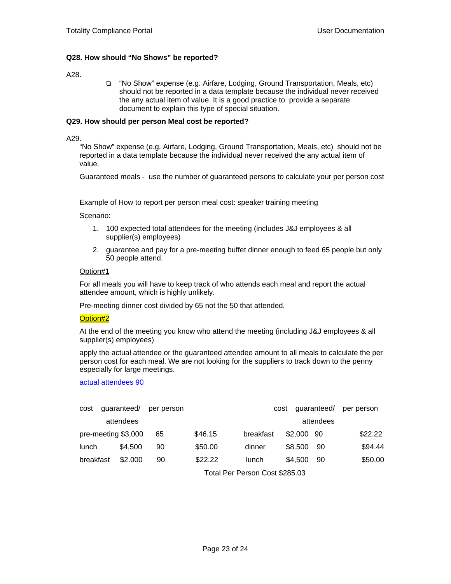#### **Q28. How should "No Shows" be reported?**

A28.

 "No Show" expense (e.g. Airfare, Lodging, Ground Transportation, Meals, etc) should not be reported in a data template because the individual never received the any actual item of value. It is a good practice to provide a separate document to explain this type of special situation.

#### **Q29. How should per person Meal cost be reported?**

A29.

"No Show" expense (e.g. Airfare, Lodging, Ground Transportation, Meals, etc) should not be reported in a data template because the individual never received the any actual item of value.

Guaranteed meals - use the number of guaranteed persons to calculate your per person cost

Example of How to report per person meal cost: speaker training meeting

Scenario:

- 1. 100 expected total attendees for the meeting (includes J&J employees & all supplier(s) employees)
- 2. guarantee and pay for a pre-meeting buffet dinner enough to feed 65 people but only 50 people attend.

#### Option#1

For all meals you will have to keep track of who attends each meal and report the actual attendee amount, which is highly unlikely.

Pre-meeting dinner cost divided by 65 not the 50 that attended.

#### Option#2

At the end of the meeting you know who attend the meeting (including J&J employees & all supplier(s) employees)

apply the actual attendee or the guaranteed attendee amount to all meals to calculate the per person cost for each meal. We are not looking for the suppliers to track down to the penny especially for large meetings.

actual attendees 90

| cost      | quaranteed/         | per person |         |           | guaranteed/<br>cost |           | per person |
|-----------|---------------------|------------|---------|-----------|---------------------|-----------|------------|
|           | attendees           |            |         |           |                     | attendees |            |
|           | pre-meeting \$3,000 | 65         | \$46.15 | breakfast | \$2,000 90          |           | \$22.22    |
| lunch     | \$4.500             | 90         | \$50.00 | dinner    | \$8.500             | -90       | \$94.44    |
| breakfast | \$2.000             | 90         | \$22.22 | lunch     | \$4.500             | 90        | \$50.00    |

Total Per Person Cost \$285.03